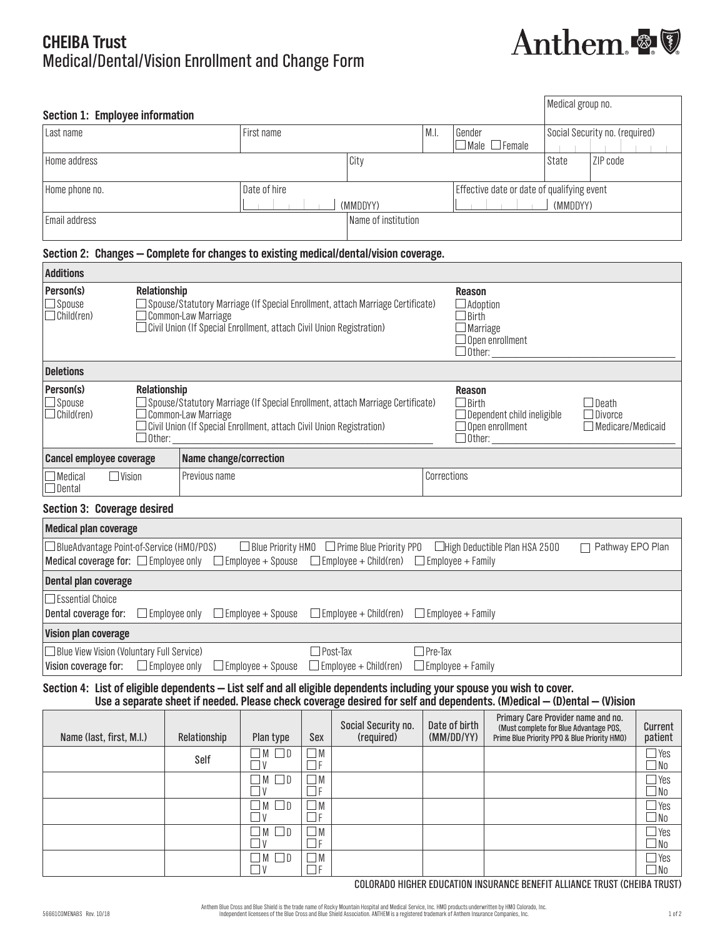# **CHEIBA Trust** Medical/Dental/Vision Enrollment and Change Form



| Section 1: Employee information |              |                     |      |                                            | Medical group no. |          |
|---------------------------------|--------------|---------------------|------|--------------------------------------------|-------------------|----------|
| l Last name                     | First name   |                     | M.I. | Social Security no. (required)<br>Gender   |                   |          |
|                                 |              |                     |      | $\Box$ Male $\Box$ Female                  |                   |          |
| Home address                    |              | City                |      |                                            | l State           | ZIP code |
|                                 |              |                     |      |                                            |                   |          |
| Home phone no.                  | Date of hire |                     |      | Effective date or date of qualifying event |                   |          |
|                                 | (MMDDYY)     |                     |      | (MMDDYY)                                   |                   |          |
| Email address                   |              | Name of institution |      |                                            |                   |          |

## **Section 2: Changes — Complete for changes to existing medical/dental/vision coverage.**

| <b>Additions</b>                                                  |                                                                                                                                                                                                                              |                                                                                                                                                                                             |  |                                                                                                                       |                                                            |  |
|-------------------------------------------------------------------|------------------------------------------------------------------------------------------------------------------------------------------------------------------------------------------------------------------------------|---------------------------------------------------------------------------------------------------------------------------------------------------------------------------------------------|--|-----------------------------------------------------------------------------------------------------------------------|------------------------------------------------------------|--|
| Person(s)<br>$\square$ Spouse<br>$\Box$ Child(ren)                | Relationship                                                                                                                                                                                                                 | $\Box$ Spouse/Statutory Marriage (If Special Enrollment, attach Marriage Certificate)<br>Common-Law Marriage<br>$\Box$ Civil Union (If Special Enrollment, attach Civil Union Registration) |  | <b>Reason</b><br>$\Box$ Adoption<br><b>Birth</b><br>$\Box$ Marriage<br>$\Box$ Open enrollment<br>$\Box$ Other: $\_\_$ |                                                            |  |
| <b>Deletions</b>                                                  |                                                                                                                                                                                                                              |                                                                                                                                                                                             |  |                                                                                                                       |                                                            |  |
| Person(s)<br>$\square$ Spouse<br>$\Box$ Child(ren)                | Relationship<br>$\Box$ Spouse/Statutory Marriage (If Special Enrollment, attach Marriage Certificate)<br>Common-Law Marriage<br>$\Box$ Civil Union (If Special Enrollment, attach Civil Union Registration)<br>$\Box$ Other: |                                                                                                                                                                                             |  | Reason<br>$\Box$ Birth<br>$\Box$ Dependent child ineligible<br>$\Box$ Open enrollment<br>$\Box$ Other:                | $\Box$ Death<br>$\Box$ Divorce<br>$\Box$ Medicare/Medicaid |  |
| <b>Cancel employee coverage</b>                                   |                                                                                                                                                                                                                              | Name change/correction                                                                                                                                                                      |  |                                                                                                                       |                                                            |  |
| Previous name<br>$\Box$ Vision<br>$\Box$ Medical<br>$\Box$ Dental |                                                                                                                                                                                                                              | Corrections                                                                                                                                                                                 |  |                                                                                                                       |                                                            |  |
|                                                                   | Section 3: Coverage desired                                                                                                                                                                                                  |                                                                                                                                                                                             |  |                                                                                                                       |                                                            |  |
| <b>Medical plan coverage</b>                                      |                                                                                                                                                                                                                              |                                                                                                                                                                                             |  |                                                                                                                       |                                                            |  |

| $\Box$ BlueAdvantage Point-of-Service (HMO/POS) |                          | $\Box$ Blue Priority HMO $\Box$ Prime Blue Priority PPO                        | $\Box$ High Deductible Plan HSA 2500 | □ Pathway EPO Plan |
|-------------------------------------------------|--------------------------|--------------------------------------------------------------------------------|--------------------------------------|--------------------|
| Medical coverage for: $\square$ Employee only   |                          | $\Box$ Employee + Spouse $\Box$ Employee + Child(ren) $\Box$ Employee + Family |                                      |                    |
| Dental plan coverage                            |                          |                                                                                |                                      |                    |
| $\Box$ Essential Choice                         |                          |                                                                                |                                      |                    |
| $\Box$ Employee only<br>Dental coverage for:    |                          | $\Box$ Employee + Spouse $\Box$ Employee + Child(ren) $\Box$ Employee + Family |                                      |                    |
| Vision plan coverage                            |                          |                                                                                |                                      |                    |
| □ Blue View Vision (Voluntary Full Service)     |                          | $\Box$ Post-Tax                                                                | $Pre-Tax$                            |                    |
| Vision coverage for:<br>$\Box$ Employee only    | $\Box$ Employee + Spouse | $\Box$ Employee + Child(ren) $\Box$ Employee + Family                          |                                      |                    |

# **Section 4: List of eligible dependents — List self and all eligible dependents including your spouse you wish to cover. Use a separate sheet if needed. Please check coverage desired for self and dependents. (M)edical — (D)ental — (V)ision**

| Name (last, first, M.I.) | Relationship | Plan type                       | Sex            | Social Security no.<br>(required) | Date of birth<br>(MM/DD/YY) | Primary Care Provider name and no.<br>(Must complete for Blue Advantage POS,<br>Prime Blue Priority PPO & Blue Priority HMO) | Current<br>patient         |
|--------------------------|--------------|---------------------------------|----------------|-----------------------------------|-----------------------------|------------------------------------------------------------------------------------------------------------------------------|----------------------------|
|                          | Self         | $\Box$<br>$\Box M$<br>- I V     | $\Box$ M<br>ΔF |                                   |                             |                                                                                                                              | $\Box$ Yes<br>$\Box$ No    |
|                          |              | $\blacksquare$<br>$\Box$<br>l V | $\Box$ M<br>JF |                                   |                             |                                                                                                                              | $\Box$ Yes<br>No_          |
|                          |              | $\mathsf{M}$<br>$\Box$<br>l V   | $\Box$ M<br>JF |                                   |                             |                                                                                                                              | $\Box$ Yes<br>$\Box$ No    |
|                          |              | - I M<br>٦v                     | ΔM<br>-I F     |                                   |                             |                                                                                                                              | $\exists$ Yes<br>$\Box$ No |
|                          |              | I M<br>$\Box$<br>٦v             | $\Box$ M<br>ΙF |                                   |                             |                                                                                                                              | $\sqsupset$ Yes<br>No_     |

COLORADO HIGHER EDUCATION INSURANCE BENEFIT ALLIANCE TRUST (CHEIBA TRUST)